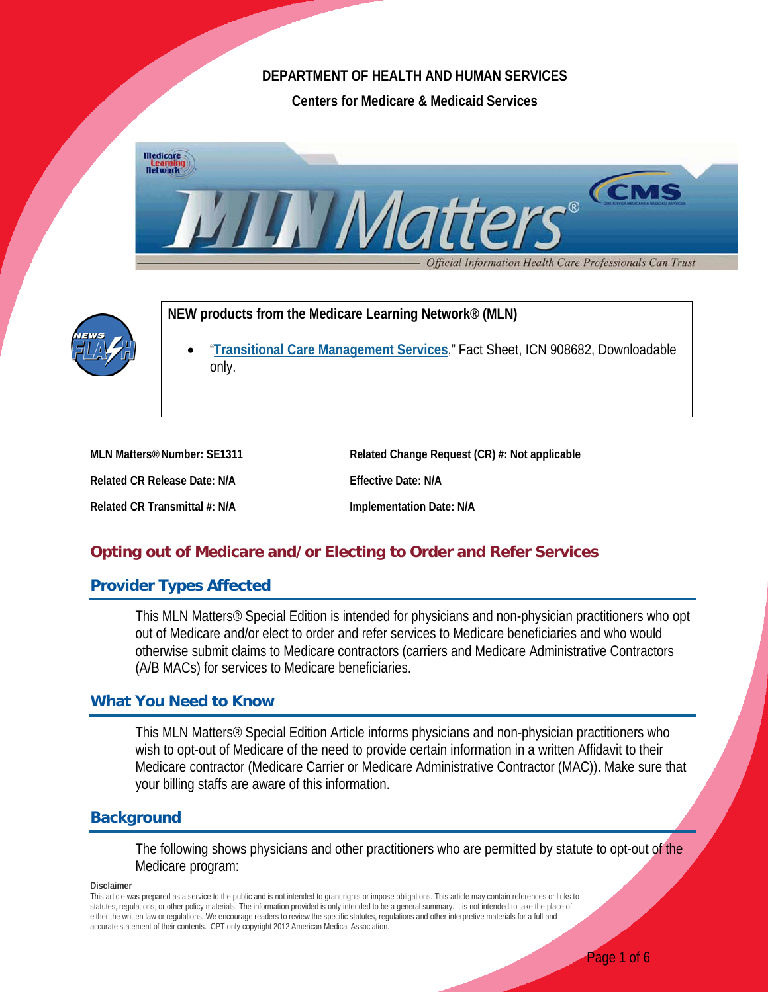## **DEPARTMENT OF HEALTH AND HUMAN SERVICES**

**Centers for Medicare & Medicaid Services**





**NEW products from the Medicare Learning Network® (MLN)**

• "**[Transitional Care Management Services](http://www.cms.gov/Outreach-and-Education/Medicare-Learning-Network-MLN/MLNProducts/Downloads/Transitional-Care-Management-Services-Fact-Sheet-ICN908628.pdf)**," Fact Sheet, ICN 908682, Downloadable only.

| MLN Matters <sup>®</sup> Number: SE1311 | Related Change Request (CR) #: Not applicable |
|-----------------------------------------|-----------------------------------------------|
| Related CR Release Date: N/A            | Effective Date: N/A                           |
| Related CR Transmittal #: N/A           | Implementation Date: N/A                      |

# **Opting out of Medicare and/or Electing to Order and Refer Services**

## **Provider Types Affected**

This MLN Matters® Special Edition is intended for physicians and non-physician practitioners who opt out of Medicare and/or elect to order and refer services to Medicare beneficiaries and who would otherwise submit claims to Medicare contractors (carriers and Medicare Administrative Contractors (A/B MACs) for services to Medicare beneficiaries.

## **What You Need to Know**

This MLN Matters® Special Edition Article informs physicians and non-physician practitioners who wish to opt-out of Medicare of the need to provide certain information in a written Affidavit to their Medicare contractor (Medicare Carrier or Medicare Administrative Contractor (MAC)). Make sure that your billing staffs are aware of this information.

## **Background**

The following shows physicians and other practitioners who are permitted by statute to opt-out of the Medicare program:

#### **Disclaimer**

This article was prepared as a service to the public and is not intended to grant rights or impose obligations. This article may contain references or links to statutes, regulations, or other policy materials. The information provided is only intended to be a general summary. It is not intended to take the place of either the written law or regulations. We encourage readers to review the specific statutes, regulations and other interpretive materials for a full and accurate statement of their contents. CPT only copyright 2012 American Medical Association.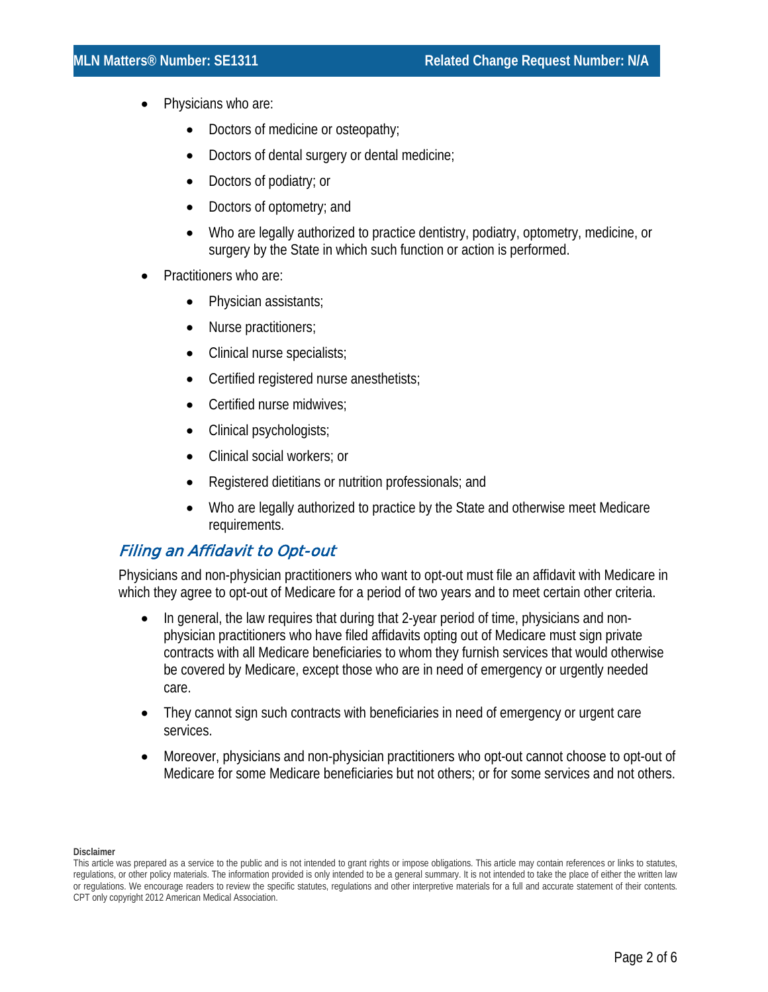- Physicians who are:
	- Doctors of medicine or osteopathy;
	- Doctors of dental surgery or dental medicine;
	- Doctors of podiatry; or
	- Doctors of optometry; and
	- Who are legally authorized to practice dentistry, podiatry, optometry, medicine, or surgery by the State in which such function or action is performed.
- Practitioners who are:
	- Physician assistants;
	- Nurse practitioners;
	- Clinical nurse specialists;
	- Certified registered nurse anesthetists;
	- Certified nurse midwives;
	- Clinical psychologists;
	- Clinical social workers; or
	- Registered dietitians or nutrition professionals; and
	- Who are legally authorized to practice by the State and otherwise meet Medicare requirements.

# Filing an Affidavit to Opt-out

Physicians and non-physician practitioners who want to opt-out must file an affidavit with Medicare in which they agree to opt-out of Medicare for a period of two years and to meet certain other criteria.

- In general, the law requires that during that 2-year period of time, physicians and nonphysician practitioners who have filed affidavits opting out of Medicare must sign private contracts with all Medicare beneficiaries to whom they furnish services that would otherwise be covered by Medicare, except those who are in need of emergency or urgently needed care.
- They cannot sign such contracts with beneficiaries in need of emergency or urgent care services.
- Moreover, physicians and non-physician practitioners who opt-out cannot choose to opt-out of Medicare for some Medicare beneficiaries but not others; or for some services and not others.

This article was prepared as a service to the public and is not intended to grant rights or impose obligations. This article may contain references or links to statutes, regulations, or other policy materials. The information provided is only intended to be a general summary. It is not intended to take the place of either the written law or regulations. We encourage readers to review the specific statutes, regulations and other interpretive materials for a full and accurate statement of their contents. CPT only copyright 2012 American Medical Association.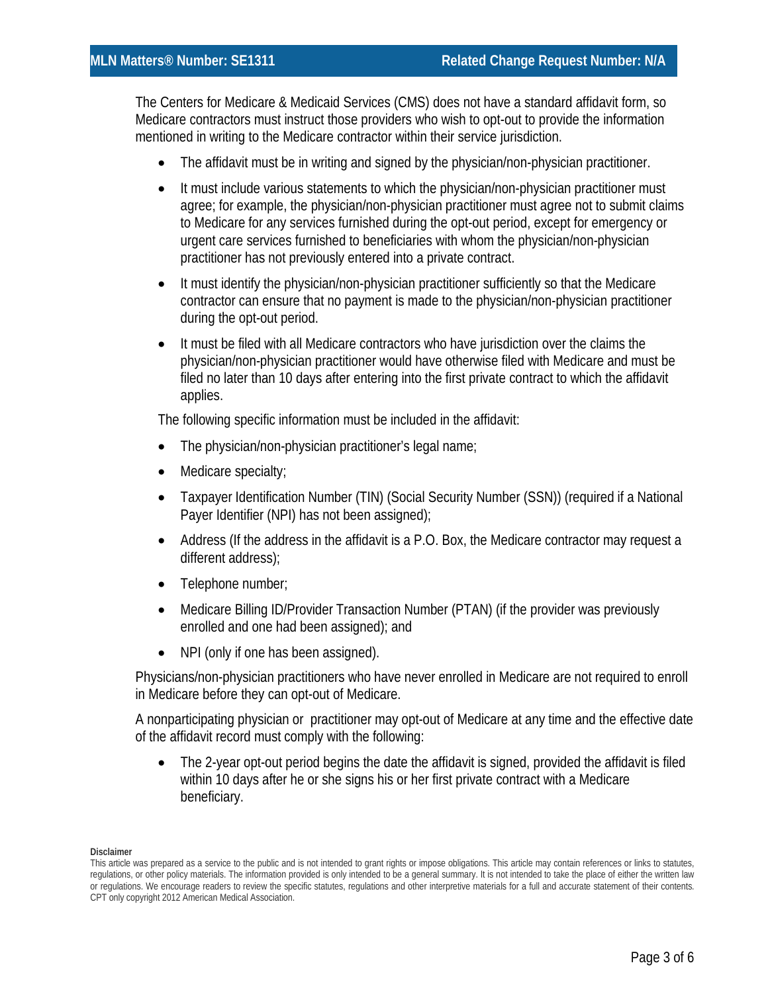The Centers for Medicare & Medicaid Services (CMS) does not have a standard affidavit form, so Medicare contractors must instruct those providers who wish to opt-out to provide the information mentioned in writing to the Medicare contractor within their service jurisdiction.

- The affidavit must be in writing and signed by the physician/non-physician practitioner.
- It must include various statements to which the physician/non-physician practitioner must agree; for example, the physician/non-physician practitioner must agree not to submit claims to Medicare for any services furnished during the opt-out period, except for emergency or urgent care services furnished to beneficiaries with whom the physician/non-physician practitioner has not previously entered into a private contract.
- It must identify the physician/non-physician practitioner sufficiently so that the Medicare contractor can ensure that no payment is made to the physician/non-physician practitioner during the opt-out period.
- It must be filed with all Medicare contractors who have jurisdiction over the claims the physician/non-physician practitioner would have otherwise filed with Medicare and must be filed no later than 10 days after entering into the first private contract to which the affidavit applies.

The following specific information must be included in the affidavit:

- The physician/non-physician practitioner's legal name;
- Medicare specialty;
- Taxpayer Identification Number (TIN) (Social Security Number (SSN)) (required if a National Payer Identifier (NPI) has not been assigned);
- Address (If the address in the affidavit is a P.O. Box, the Medicare contractor may request a different address);
- Telephone number;
- Medicare Billing ID/Provider Transaction Number (PTAN) (if the provider was previously enrolled and one had been assigned); and
- NPI (only if one has been assigned).

Physicians/non-physician practitioners who have never enrolled in Medicare are not required to enroll in Medicare before they can opt-out of Medicare.

A nonparticipating physician or practitioner may opt-out of Medicare at any time and the effective date of the affidavit record must comply with the following:

• The 2-year opt-out period begins the date the affidavit is signed, provided the affidavit is filed within 10 days after he or she signs his or her first private contract with a Medicare beneficiary.

This article was prepared as a service to the public and is not intended to grant rights or impose obligations. This article may contain references or links to statutes, regulations, or other policy materials. The information provided is only intended to be a general summary. It is not intended to take the place of either the written law or regulations. We encourage readers to review the specific statutes, regulations and other interpretive materials for a full and accurate statement of their contents. CPT only copyright 2012 American Medical Association.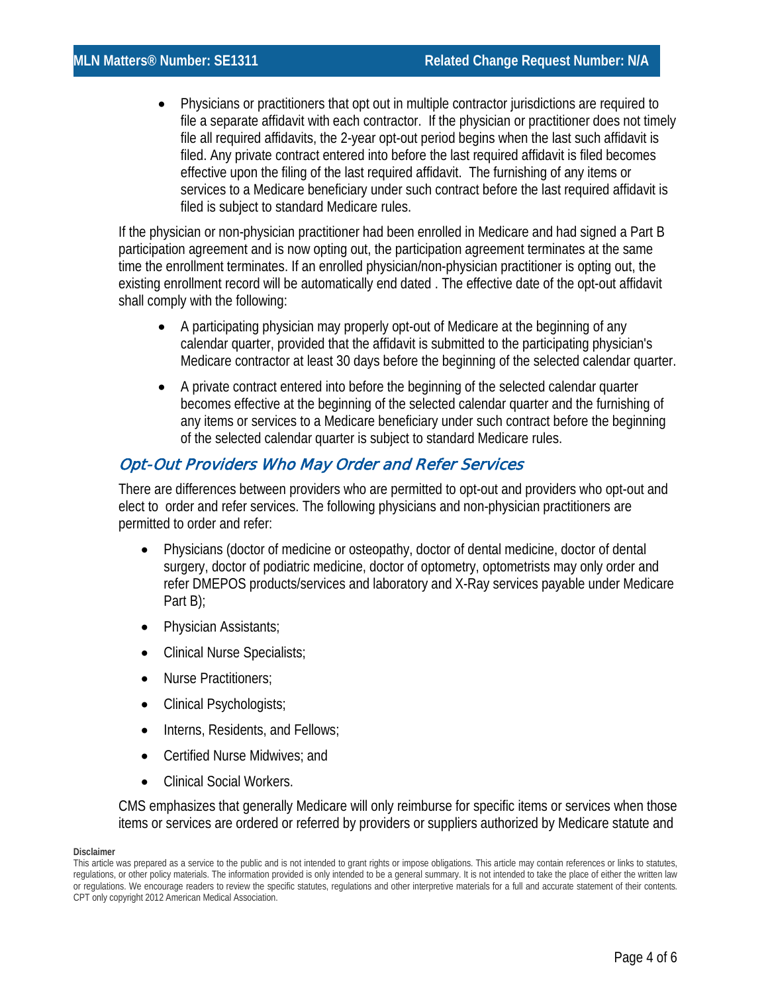• Physicians or practitioners that opt out in multiple contractor jurisdictions are required to file a separate affidavit with each contractor. If the physician or practitioner does not timely file all required affidavits, the 2-year opt-out period begins when the last such affidavit is filed. Any private contract entered into before the last required affidavit is filed becomes effective upon the filing of the last required affidavit. The furnishing of any items or services to a Medicare beneficiary under such contract before the last required affidavit is filed is subject to standard Medicare rules.

If the physician or non-physician practitioner had been enrolled in Medicare and had signed a Part B participation agreement and is now opting out, the participation agreement terminates at the same time the enrollment terminates. If an enrolled physician/non-physician practitioner is opting out, the existing enrollment record will be automatically end dated . The effective date of the opt-out affidavit shall comply with the following:

- A participating physician may properly opt-out of Medicare at the beginning of any calendar quarter, provided that the affidavit is submitted to the participating physician's Medicare contractor at least 30 days before the beginning of the selected calendar quarter.
- A private contract entered into before the beginning of the selected calendar quarter becomes effective at the beginning of the selected calendar quarter and the furnishing of any items or services to a Medicare beneficiary under such contract before the beginning of the selected calendar quarter is subject to standard Medicare rules.

# Opt-Out Providers Who May Order and Refer Services

There are differences between providers who are permitted to opt-out and providers who opt-out and elect to order and refer services. The following physicians and non-physician practitioners are permitted to order and refer:

- Physicians (doctor of medicine or osteopathy, doctor of dental medicine, doctor of dental surgery, doctor of podiatric medicine, doctor of optometry, optometrists may only order and refer DMEPOS products/services and laboratory and X-Ray services payable under Medicare Part B);
- Physician Assistants;
- Clinical Nurse Specialists;
- Nurse Practitioners;
- Clinical Psychologists;
- Interns, Residents, and Fellows;
- Certified Nurse Midwives; and
- Clinical Social Workers.

CMS emphasizes that generally Medicare will only reimburse for specific items or services when those items or services are ordered or referred by providers or suppliers authorized by Medicare statute and

This article was prepared as a service to the public and is not intended to grant rights or impose obligations. This article may contain references or links to statutes, regulations, or other policy materials. The information provided is only intended to be a general summary. It is not intended to take the place of either the written law or regulations. We encourage readers to review the specific statutes, regulations and other interpretive materials for a full and accurate statement of their contents. CPT only copyright 2012 American Medical Association.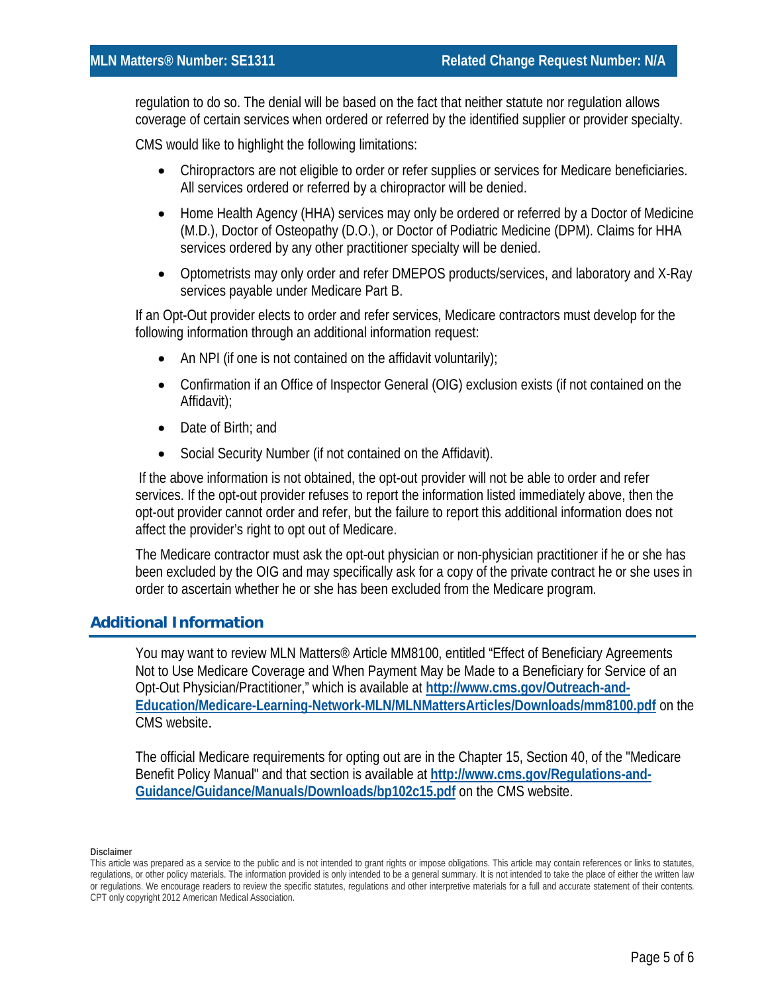regulation to do so. The denial will be based on the fact that neither statute nor regulation allows coverage of certain services when ordered or referred by the identified supplier or provider specialty.

CMS would like to highlight the following limitations:

- Chiropractors are not eligible to order or refer supplies or services for Medicare beneficiaries. All services ordered or referred by a chiropractor will be denied.
- Home Health Agency (HHA) services may only be ordered or referred by a Doctor of Medicine (M.D.), Doctor of Osteopathy (D.O.), or Doctor of Podiatric Medicine (DPM). Claims for HHA services ordered by any other practitioner specialty will be denied.
- Optometrists may only order and refer DMEPOS products/services, and laboratory and X-Ray services payable under Medicare Part B.

If an Opt-Out provider elects to order and refer services, Medicare contractors must develop for the following information through an additional information request:

- An NPI (if one is not contained on the affidavit voluntarily);
- Confirmation if an Office of Inspector General (OIG) exclusion exists (if not contained on the Affidavit);
- Date of Birth: and
- Social Security Number (if not contained on the Affidavit).

If the above information is not obtained, the opt-out provider will not be able to order and refer services. If the opt-out provider refuses to report the information listed immediately above, then the opt-out provider cannot order and refer, but the failure to report this additional information does not affect the provider's right to opt out of Medicare.

The Medicare contractor must ask the opt-out physician or non-physician practitioner if he or she has been excluded by the OIG and may specifically ask for a copy of the private contract he or she uses in order to ascertain whether he or she has been excluded from the Medicare program.

## **Additional Information**

You may want to review MLN Matters<sup>®</sup> Article MM8100, entitled "Effect of Beneficiary Agreements Not to Use Medicare Coverage and When Payment May be Made to a Beneficiary for Service of an Opt-Out Physician/Practitioner," which is available at **[http://www.cms.gov/Outreach-and-](http://www.cms.gov/Outreach-and-Education/Medicare-Learning-Network-MLN/MLNMattersArticles/Downloads/mm8100.pdf)[Education/Medicare-Learning-Network-MLN/MLNMattersArticles/Downloads/mm8100.pdf](http://www.cms.gov/Outreach-and-Education/Medicare-Learning-Network-MLN/MLNMattersArticles/Downloads/mm8100.pdf)** on the CMS website.

The official Medicare requirements for opting out are in the Chapter 15, Section 40, of the "Medicare Benefit Policy Manual" and that section is available at **[http://www.cms.gov/Regulations-and-](http://www.cms.gov/Regulations-and-Guidance/Guidance/Manuals/Downloads/bp102c15.pdf)[Guidance/Guidance/Manuals/Downloads/bp102c15.pdf](http://www.cms.gov/Regulations-and-Guidance/Guidance/Manuals/Downloads/bp102c15.pdf)** on the CMS website.

This article was prepared as a service to the public and is not intended to grant rights or impose obligations. This article may contain references or links to statutes, regulations, or other policy materials. The information provided is only intended to be a general summary. It is not intended to take the place of either the written law or regulations. We encourage readers to review the specific statutes, regulations and other interpretive materials for a full and accurate statement of their contents. CPT only copyright 2012 American Medical Association.